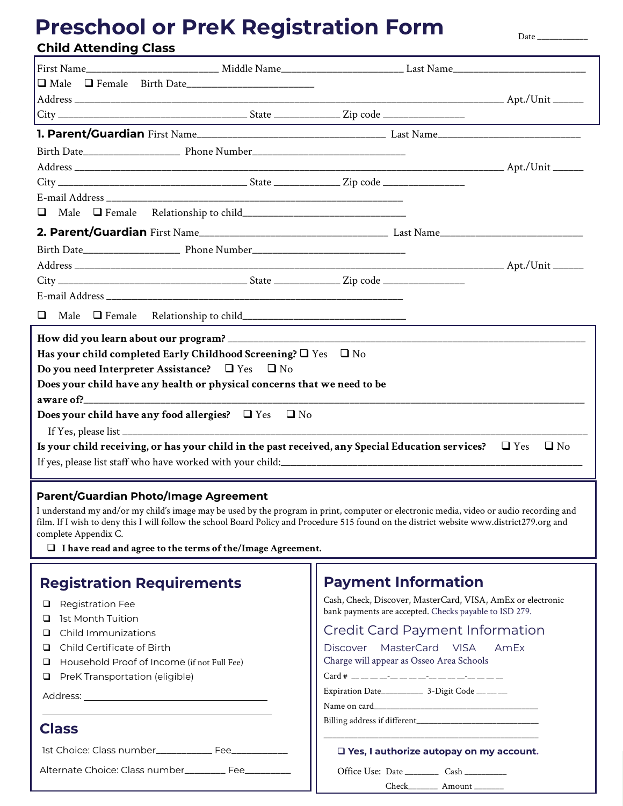# **Child Attending Class Preschool or PreK Registration Form**

Date  $\_\_$ 

| $\Box$ Male $\Box$ Female                                                                                                |                                                                         |  |  |  |  |
|--------------------------------------------------------------------------------------------------------------------------|-------------------------------------------------------------------------|--|--|--|--|
|                                                                                                                          |                                                                         |  |  |  |  |
| Has your child completed Early Childhood Screening? $\Box$ Yes $\Box$ No                                                 |                                                                         |  |  |  |  |
| Do you need Interpreter Assistance? $\Box$ Yes                                                                           | $\Box$ No                                                               |  |  |  |  |
|                                                                                                                          | Does your child have any health or physical concerns that we need to be |  |  |  |  |
|                                                                                                                          |                                                                         |  |  |  |  |
|                                                                                                                          | Does your child have any food allergies? $\Box$ Yes $\Box$ No           |  |  |  |  |
|                                                                                                                          |                                                                         |  |  |  |  |
| Is your child receiving, or has your child in the past received, any Special Education services? $\Box$ Yes<br>$\Box$ No |                                                                         |  |  |  |  |
|                                                                                                                          |                                                                         |  |  |  |  |
|                                                                                                                          |                                                                         |  |  |  |  |

#### **Parent/Guardian Photo/Image Agreement**

I understand my and/or my child's image may be used by the program in print, computer or electronic media, video or audio recording and film. If I wish to deny this I will follow the school Board Policy and Procedure 515 found on the district website www.district279.org and complete Appendix C.

q **I have read and agree to the terms of the/Image Agreement.**

| <b>Registration Requirements</b>                                                                                                                                                                                                        | <b>Payment Information</b>                                                                                                                                                                                                                                                                              |
|-----------------------------------------------------------------------------------------------------------------------------------------------------------------------------------------------------------------------------------------|---------------------------------------------------------------------------------------------------------------------------------------------------------------------------------------------------------------------------------------------------------------------------------------------------------|
| <b>Q</b> Registration Fee<br><b>u</b> 1st Month Tuition<br>$\Box$ Child Immunizations<br>$\Box$ Child Certificate of Birth<br>$\Box$ Household Proof of Income (if not Full Fee)<br>$\Box$ PreK Transportation (eligible)<br>Address: _ | Cash, Check, Discover, MasterCard, VISA, AmEx or electronic<br>bank payments are accepted. Checks payable to ISD 279.<br><b>Credit Card Payment Information</b><br>MasterCard VISA AmEx<br>Discover<br>Charge will appear as Osseo Area Schools<br>Expiration Date_______________ 3-Digit Code __ __ __ |
| <b>Class</b><br>1st Choice: Class number_______________ Fee_____________                                                                                                                                                                | Name on card<br>□ Yes, I authorize autopay on my account.                                                                                                                                                                                                                                               |
| Alternate Choice: Class number_________ Fee_________                                                                                                                                                                                    | Office Use: Date ___________ Cash ___________<br>$Check$ $Amouth$                                                                                                                                                                                                                                       |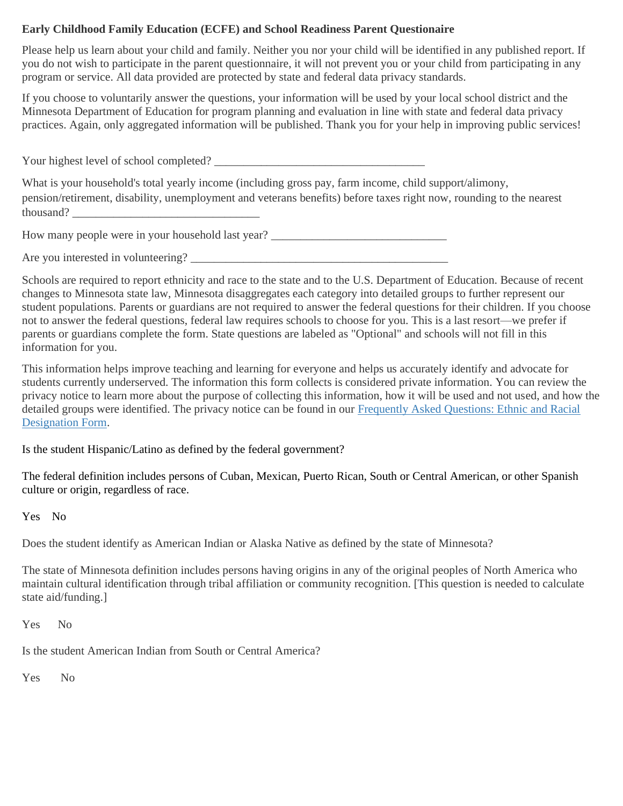### **Early Childhood Family Education (ECFE) and School Readiness Parent Questionaire**

Please help us learn about your child and family. Neither you nor your child will be identified in any published report. If you do not wish to participate in the parent questionnaire, it will not prevent you or your child from participating in any program or service. All data provided are protected by state and federal data privacy standards.

If you choose to voluntarily answer the questions, your information will be used by your local school district and the Minnesota Department of Education for program planning and evaluation in line with state and federal data privacy practices. Again, only aggregated information will be published. Thank you for your help in improving public services!

Your highest level of school completed? What is your household's total yearly income (including gross pay, farm income, child support/alimony, pension/retirement, disability, unemployment and veterans benefits) before taxes right now, rounding to the nearest thousand?

How many people were in your household last year? \_\_\_\_\_\_\_\_\_\_\_\_\_\_\_\_\_\_\_\_\_\_\_\_\_\_\_\_\_\_\_

Are you interested in volunteering? \_\_\_\_\_\_\_\_\_\_\_\_\_\_\_\_\_\_\_\_\_\_\_\_\_\_\_\_\_\_\_\_\_\_\_\_\_\_\_\_\_\_\_\_

Schools are required to report ethnicity and race to the state and to the U.S. Department of Education. Because of recent changes to Minnesota state law, Minnesota disaggregates each category into detailed groups to further represent our student populations. Parents or guardians are not required to answer the federal questions for their children. If you choose not to answer the federal questions, federal law requires schools to choose for you. This is a last resort—we prefer if parents or guardians complete the form. State questions are labeled as "Optional" and schools will not fill in this information for you.

This information helps improve teaching and learning for everyone and helps us accurately identify and advocate for students currently underserved. The information this form collects is considered private information. You can review the privacy notice to learn more about the purpose of collecting this information, how it will be used and not used, and how the detailed groups were identified. The privacy notice can be found in our [Frequently Asked Questions: Ethnic and Racial](https://education.mn.gov/MDE/fam/count/)  [Designation Form.](https://education.mn.gov/MDE/fam/count/)

Is the student Hispanic/Latino as defined by the federal government?

The federal definition includes persons of Cuban, Mexican, Puerto Rican, South or Central American, or other Spanish culture or origin, regardless of race.

Yes No

Does the student identify as American Indian or Alaska Native as defined by the state of Minnesota?

The state of Minnesota definition includes persons having origins in any of the original peoples of North America who maintain cultural identification through tribal affiliation or community recognition. [This question is needed to calculate state aid/funding.]

Yes No

Is the student American Indian from South or Central America?

Yes No